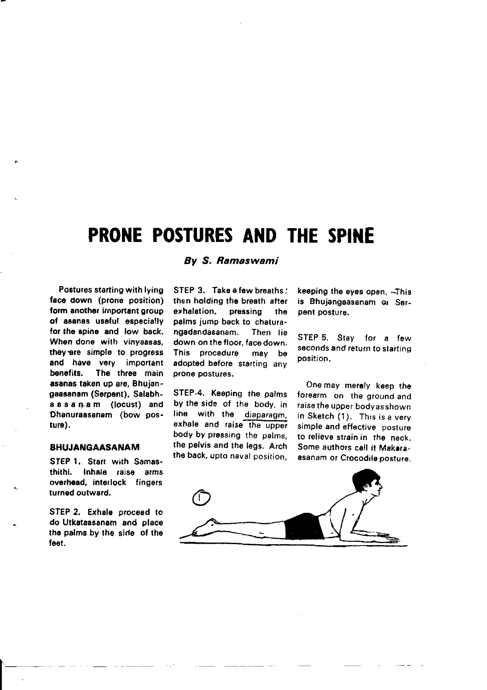# PRONE POSTURES AND THE SPINE

Postures starting with lying face down (prone position) form another important group of aaanas useful especially for the spine and low back. When done with vinyaasas. they are simple to progress and have very important benefits. The three main asanas taken up are, Bhujangaesanam (Serpent). Salabhassanam (locust) and Dhanuraasanam (bow posture).

### BHUJANGAASANAM

STEP 1. Start with Samasthithi. Inhala raise arms overhead, interlock fingers turned outward.

STEP 2. Exhale proceed to do Utkatassanam and place the palms by the side of the feet.

 $\begin{array}{|c|} \hline \hline \hline \end{array}$ 

# By S. Ramaswami

STEP 3. Take a few breaths: then holding the breath after erhalation, pressing the palms jump back to chaturangadsndasanam. Then lie down on the floor, face down. This procedure may be adopted before sterting any prone postures.

STEP.4. Keeping the palms by the side of the body, in lihe with the diaparagm. exhale and raise the upper body by pressing the palms, the pelvis and the legs. Arch. the back, upto naval position, keeping the eyes open. -This is Bhujangaasanam or Serpent posturs.

STEP 5. Stav for a few seconds and return to starting<br>position.

One may merely keep the forearm on the ground and raise the upper bodyas shown in Sketch (1). This is a very simple and effective posture to relieve strain in the neck. Some authors call it Makaraasanam or Crocodile posture.

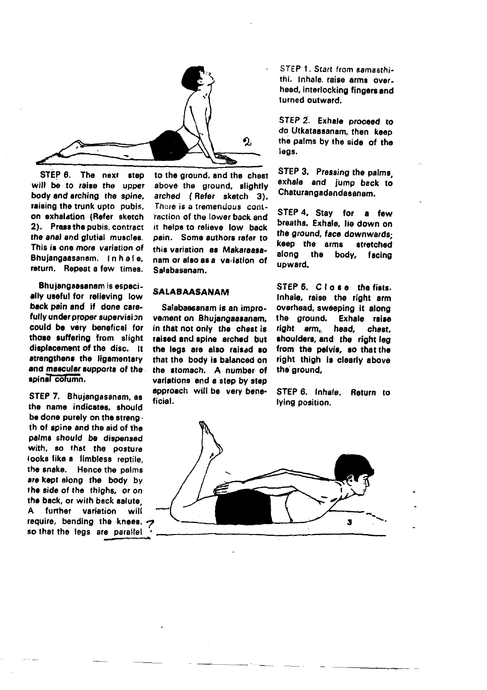

STEP 6. The next step will be to raise the upper body and arching the soine. raising the trunk upto pubis, on exhalation (Refer sketch 2). Press the pubis, contract the anal and glutial muscles. This is one more variation of Bhuiangaasanam. In haie. return. Repeat a few times.

Bhujangaasanam is especially useful for relieving low back pain and if done carefully under proper supervision could be very benefical for those suffering from slight disolacement of the disc. It strengthens the ligamentary and mascular supports of the. spinal column.

STEP 7. Bhuiangasanam, as the name indicates, should be done purely on the streng. th of spine and the aid of the palms should be dispensed with, so that the posture looks like a limbless reptile. the snake. Hence the palms are kept along the body by the side of the thighs, or on the back, or with back salute further variation will A. require, bending the knees. so that the legs are parallel

to the ground, and the chest above the ground, slightly arched (Refer sketch 3). There is a tremendous contraction of the lower back and it helps to relieve low back pain. Some authors refer to this variation as Makaraasanam or also as a variation of Salabasanam.

# **SALABAASANAM**

Salabaasanam is an improvement on Bhuiangaasanam. in that not only the chest is raised and spine arched but the legs are also raised so that the body is balanced on the stomach. A number of variations and a step by step approach will be very beneficial.

STEP 1. Start from samasthithi. Inhale raise arms over. head, interlocking fingers and turned outward.

STEP 2. Exhale proceed to do Utkataasanam, then keep the palms by the side of the leas.

STEP 3. Pressing the palms exhale and jump back to Chaturangadandasanam.

STEP 4. Stay for a few breaths. Exhale, lie down on the ground, face downwardskeep the arms stratchad along the body, facing upward.

STEP 5. Close the fists. Inhale, raise the right arm overhead, sweeping it along the ground. Exhale raise right arm. head. chest. shoulders, and the right leg from the pelvis, so that the right thigh is clearly above the ground.

STEP 6. Inhala Return to lying position.

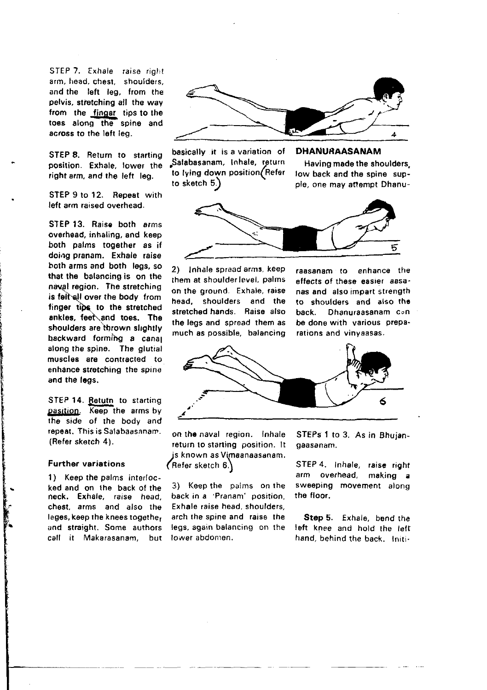STEP 7. Exhale raise right arm, head. chest. shoulders, and the left leg, from the pelvis, stretching all the way from the fingar tips to the toes along the spine and across to the left leg.

STEP 8. Return to starting position. Exhale, lower the right arm, and the left leg.

STEP 9 to 12. Repeat with left arm raised overhead.

STEP 13. Raise both arms overhead, inhaling, and keep both palms together as if doing pranam. Exhale raise both arms and both legs, so that the balancing is on the naval region. The stretching is felt all over the body from finger tips to the stretched ankles, feet and toes. The shoulders are thrown slightly backward formihg a canal along the spine. The glutial muscles are contracted to enhance stretching the spine and the logs.

STEP 14. Betutn to starting pasition. Keep the arms by the side of the body and repeat. This is Salabaasanam. (Refer sketch 4).

#### Further variations

1) Keep the palms interlocked and on lhe back of the neck. Exhale, raise head, chest, arms and also the leges, koep the knees togethe, and straight. Some authors call it Makarasanam. but



basically it is a variation of Salabasanam, Inhale, return to lying down position (Refer to sketch 5,

Having made the shoulders low back and the spine supple, one may attempt Dhanu-

DHANURAASANAM



2) Inhale spread arms, keep them at shoulderlevel, palms on the ground. Exhale, raise head, shoulders and the stretched hands. Baise also the legs and spread them as much as possible, balancing raasanam to enhance the effects of these easier aasanas and also impart strength to shoulders and also the<br>back. Dhanuraasanam cen-Dhanuraasanam con be done with various preparations and vinyaasas.



on the naval region. Inhale return to starting position. It js known as V(maanaasanam. (Refer sketch  $6.$ )

3) Keep ihe palms on the back in a 'Pranam' position, Exhale raise head, shoulders, arch the spine and raise the legs, again balancing on the lower abdomen.

STEPs 1 to 3. As in Bhujangaasanam.

STEP 4. Inhale, raise right arm overhead, making a sweeping movement along the floor.

Step 5. Exhale, bend the left knee and hold the left hand, behind the back. Initi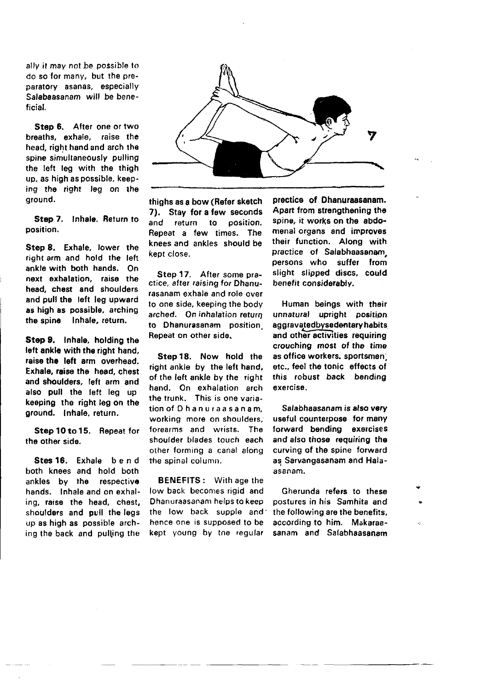ally it may not be possible to do so for many, but the preparatory asanas, especially Salabaasanam will be beneficial.

Step 6. After one or two breaths, exhale, raise the head, right hand and arch the spine simultaneously pulling the left leg with the thigh up, as high as possible, keeping the right leg on the ground.

Step 7. Inhale. Return to position.

Step 8. Exhale, lower the right arm and hold the left ankle with both hands. On next exhalation, raise the head, chest and shoulders and pull the left leg upward as high as possible, arching the spine lnhale, return.

Step 9. Inhale, holding the left ankle with the right hand. raise the left arm overhead. Exhale, raise the head, chest and shoulders, left arm and also pull the left leg up keeping the right leg on the ground. Inhale, return.

Step 10 to 15. Repeat for the other side.

Stes 16. Exhale bend both knees and hold both ankles by the respective hands. lnhale and on exhaling, raise, the head, chest, shoulders and pull the legs up as high as possible arching the back and pulling the



thighs as a bow (Refor sketch 7). Stay for a few seconds<br>and return to position. to position. Repeat a few times. The knees and ankles should be kept close.

Step 17. After some practice, after raising for Dhanutasanam exhale and role over to one side, keeping the body arched. On inhalation return to Dhanurasanam position Repeat on other side.

Step18. Now hold the right ankle by the left hand, of the left ankle by the right hand. On exhalation arch the trunk. This is one variationofOhanuraasanam, working more on shoulders. forearms and wrists. The shoulder blades touch each other torming a canal along the spinal column.

BENEFITS : With age the low back becomes rigid and Dhanuraasanam heips to keep the low back supple and hence one is supposed to be kept young by tne regulat

prectice of Dhanuraasanam. Apart from strengthening the spine, it works on the abdomenal organs and improves their function. Along with practice of Salabhaasanam. persons who suffer from slight slipped discs, could benefit considerably.

Human beings with their unnatural upright position aggravatedbysedentary habits and other activities requiring crouching most of tho time as office workers, sportsmen etc., feel the tohic effects of this robust back bending exefcise.

Salabhaasanam is also very useful caunterpose tor many forward bending exercises and also those requiring the curving of the spine forward as Sarvangasanam and Halaasanam.

Gherunda refers to these postures in his Samhita and the following aro the benefits, according to him. Makaraasanam and Salabhaasanam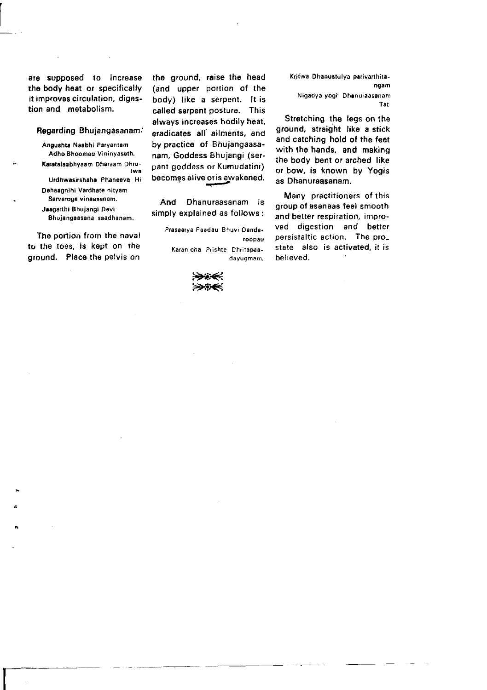are supposed to increase rhe body heat or specifically it improves circulation, digestion and metabolism.

 $\overline{a}$ 

I-.

#### Regarding Bhujangasanam.'

Angushta Naabhi Paryantam Adho Bhoomau Vininyaseth. Karatalaabhyaam Dharaam Dhrutwa Urdhwasirshahe Phaneeva Hi Dehaagnihi Vardhate nityam Sarvaroga vinaasanam. Jaagarthi Bhujangi Devi Bhujangaasana saadhanam.

The portion from the naval to tho toes, is kept on the ground. Place the pelvis on

the ground, raise the head (and upper portion of the body) like a serpent. It is called serpent posture. This always increases bodily heat, eradicates all ailments, and by practice of Bhujangaasanam, Goddess Bhujangi (serpant goddess or Kumudatini) becomes alive oris awakened.

And Dhanuraasanam is simply explained as follows:

> Prasaarya Paadau Bhuvi Dandaroopau Karan.cha Prishie Dhritapaadayuqmam.



Krifwa Dhanustulya parivarthitan9am Nigadya yogi: Dhanuraasanam Tat

Stretching the leas on the ground, straight like a stick and catching hold of the feet with tho hands, and making the body bent or arched like or bow, is known by Yogis as Dhanuraasanam,

Many practitioners of this group of asanaas feel smooth and better respiration, improved digestion and better persistaltic action. The pro\_ state also is activated, it is belreved.